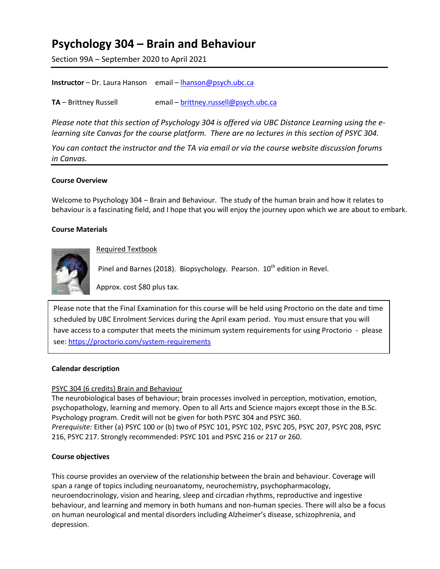# **Psychology 304 – Brain and Behaviour**

Section 99A – September 2020 to April 2021

| <b>Instructor</b> – Dr. Laura Hanson email – lhanson@psych.ubc.ca |  |  |
|-------------------------------------------------------------------|--|--|
|-------------------------------------------------------------------|--|--|

**TA** – Brittney Russell email – **[brittney.russell@psych.ubc.ca](mailto:brittney.russell@psych.ubc.ca)** 

*Please note that this section of Psychology 304 is offered via UBC Distance Learning using the elearning site Canvas for the course platform. There are no lectures in this section of PSYC 304.* 

*You can contact the instructor and the TA via email or via the course website discussion forums in Canvas.* 

# **Course Overview**

Welcome to Psychology 304 – Brain and Behaviour. The study of the human brain and how it relates to behaviour is a fascinating field, and I hope that you will enjoy the journey upon which we are about to embark.

# **Course Materials**



Required Textbook

Pinel and Barnes (2018). Biopsychology. Pearson. 10<sup>th</sup> edition in Revel.

Approx. cost \$80 plus tax.

Please note that the Final Examination for this course will be held using Proctorio on the date and time scheduled by UBC Enrolment Services during the April exam period. You must ensure that you will have access to a computer that meets the minimum system requirements for using Proctorio - please see:<https://proctorio.com/system-requirements>

# **Calendar description**

# PSYC 304 (6 credits) Brain and Behaviour

The neurobiological bases of behaviour; brain processes involved in perception, motivation, emotion, psychopathology, learning and memory. Open to all Arts and Science majors except those in the B.Sc. Psychology program. Credit will not be given for both PSYC 304 and PSYC 360. *Prerequisite:* Either (a) PSYC 100 or (b) two of PSYC 101, PSYC 102, PSYC 205, PSYC 207, PSYC 208, PSYC 216, PSYC 217. Strongly recommended: PSYC 101 and PSYC 216 or 217 or 260.

# **Course objectives**

This course provides an overview of the relationship between the brain and behaviour. Coverage will span a range of topics including neuroanatomy, neurochemistry, psychopharmacology, neuroendocrinology, vision and hearing, sleep and circadian rhythms, reproductive and ingestive behaviour, and learning and memory in both humans and non-human species. There will also be a focus on human neurological and mental disorders including Alzheimer's disease, schizophrenia, and depression.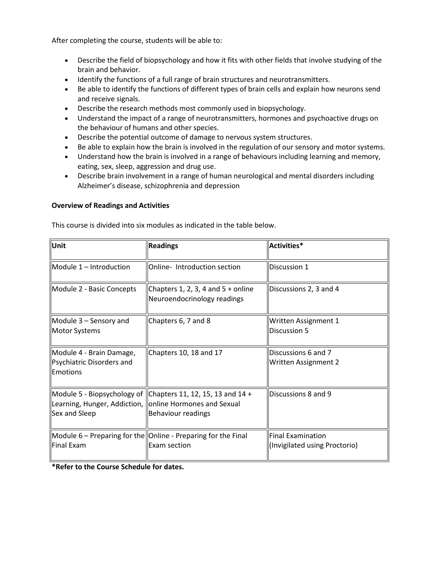After completing the course, students will be able to:

- Describe the field of biopsychology and how it fits with other fields that involve studying of the brain and behavior.
- Identify the functions of a full range of brain structures and neurotransmitters.
- Be able to identify the functions of different types of brain cells and explain how neurons send and receive signals.
- Describe the research methods most commonly used in biopsychology.
- Understand the impact of a range of neurotransmitters, hormones and psychoactive drugs on the behaviour of humans and other species.
- Describe the potential outcome of damage to nervous system structures.
- Be able to explain how the brain is involved in the regulation of our sensory and motor systems.
- Understand how the brain is involved in a range of behaviours including learning and memory, eating, sex, sleep, aggression and drug use.
- Describe brain involvement in a range of human neurological and mental disorders including Alzheimer's disease, schizophrenia and depression

#### **Overview of Readings and Activities**

This course is divided into six modules as indicated in the table below.

| Unit                                                              | <b>Readings</b>                                                                                                    | Activities*                                               |
|-------------------------------------------------------------------|--------------------------------------------------------------------------------------------------------------------|-----------------------------------------------------------|
| Module 1 - Introduction                                           | Online-Introduction section                                                                                        | Discussion 1                                              |
| Module 2 - Basic Concepts                                         | Chapters 1, 2, 3, 4 and $5 +$ online<br>Neuroendocrinology readings                                                | Discussions 2, 3 and 4                                    |
| Module $3$ – Sensory and<br>Motor Systems                         | Chapters 6, 7 and 8                                                                                                | Written Assignment 1<br>Discussion 5                      |
| Module 4 - Brain Damage,<br>Psychiatric Disorders and<br>Emotions | Chapters 10, 18 and 17                                                                                             | Discussions 6 and 7<br>Written Assignment 2               |
| Learning, Hunger, Addiction,<br>Sex and Sleep                     | Module 5 - Biopsychology of Chapters 11, 12, 15, 13 and $14 +$<br>online Hormones and Sexual<br>Behaviour readings | Discussions 8 and 9                                       |
| Final Exam                                                        | Module 6 – Preparing for the Online - Preparing for the Final<br>Exam section                                      | <b>Final Examination</b><br>(Invigilated using Proctorio) |

**\*Refer to the Course Schedule for dates.**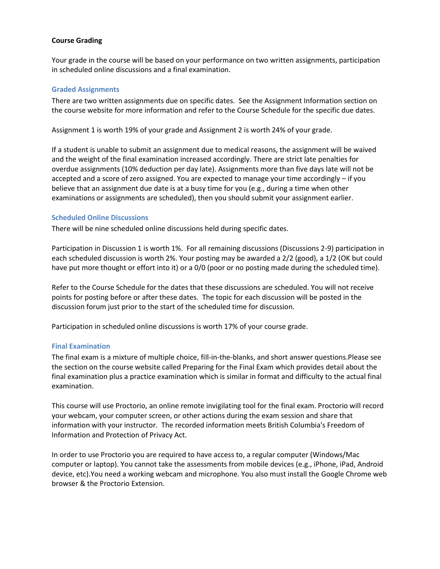# **Course Grading**

Your grade in the course will be based on your performance on two written assignments, participation in scheduled online discussions and a final examination.

#### **Graded Assignments**

There are two written assignments due on specific dates. See the Assignment Information section on the course website for more information and refer to the Course Schedule for the specific due dates.

Assignment 1 is worth 19% of your grade and Assignment 2 is worth 24% of your grade.

If a student is unable to submit an assignment due to medical reasons, the assignment will be waived and the weight of the final examination increased accordingly. There are strict late penalties for overdue assignments (10% deduction per day late). Assignments more than five days late will not be accepted and a score of zero assigned. You are expected to manage your time accordingly – if you believe that an assignment due date is at a busy time for you (e.g., during a time when other examinations or assignments are scheduled), then you should submit your assignment earlier.

#### **Scheduled Online Discussions**

There will be nine scheduled online discussions held during specific dates.

Participation in Discussion 1 is worth 1%. For all remaining discussions (Discussions 2-9) participation in each scheduled discussion is worth 2%. Your posting may be awarded a 2/2 (good), a 1/2 (OK but could have put more thought or effort into it) or a 0/0 (poor or no posting made during the scheduled time).

Refer to the Course Schedule for the dates that these discussions are scheduled. You will not receive points for posting before or after these dates. The topic for each discussion will be posted in the discussion forum just prior to the start of the scheduled time for discussion.

Participation in scheduled online discussions is worth 17% of your course grade.

#### **Final Examination**

The final exam is a mixture of multiple choice, fill-in-the-blanks, and short answer questions.Please see the section on the course website called Preparing for the Final Exam which provides detail about the final examination plus a practice examination which is similar in format and difficulty to the actual final examination.

This course will use Proctorio, an online remote invigilating tool for the final exam. Proctorio will record your webcam, your computer screen, or other actions during the exam session and share that information with your instructor. The recorded information meets British Columbia's Freedom of Information and Protection of Privacy Act.

In order to use Proctorio you are required to have access to, a regular computer (Windows/Mac computer or laptop). You cannot take the assessments from mobile devices (e.g., iPhone, iPad, Android device, etc).You need a working webcam and microphone. You also must install the Google Chrome web browser & the Proctorio Extension.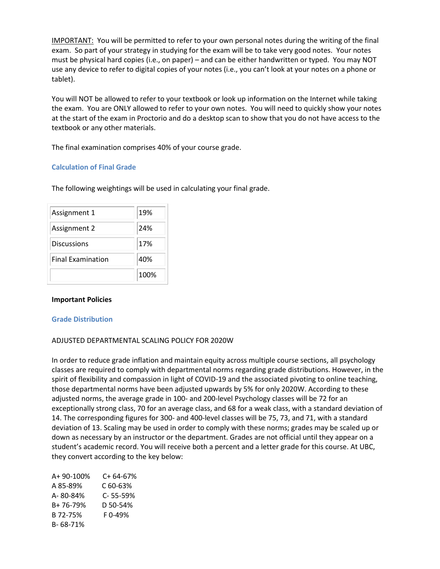IMPORTANT: You will be permitted to refer to your own personal notes during the writing of the final exam. So part of your strategy in studying for the exam will be to take very good notes. Your notes must be physical hard copies (i.e., on paper) – and can be either handwritten or typed. You may NOT use any device to refer to digital copies of your notes (i.e., you can't look at your notes on a phone or tablet).

You will NOT be allowed to refer to your textbook or look up information on the Internet while taking the exam. You are ONLY allowed to refer to your own notes. You will need to quickly show your notes at the start of the exam in Proctorio and do a desktop scan to show that you do not have access to the textbook or any other materials.

The final examination comprises 40% of your course grade.

# **Calculation of Final Grade**

The following weightings will be used in calculating your final grade.

| Assignment 1             | 19%  |
|--------------------------|------|
| Assignment 2             | 24%  |
| Discussions              | 17%  |
| <b>Final Examination</b> | 40%  |
|                          | 100% |

#### **Important Policies**

#### **Grade Distribution**

# ADJUSTED DEPARTMENTAL SCALING POLICY FOR 2020W

In order to reduce grade inflation and maintain equity across multiple course sections, all psychology classes are required to comply with departmental norms regarding grade distributions. However, in the spirit of flexibility and compassion in light of COVID-19 and the associated pivoting to online teaching, those departmental norms have been adjusted upwards by 5% for only 2020W. According to these adjusted norms, the average grade in 100- and 200-level Psychology classes will be 72 for an exceptionally strong class, 70 for an average class, and 68 for a weak class, with a standard deviation of 14. The corresponding figures for 300- and 400-level classes will be 75, 73, and 71, with a standard deviation of 13. Scaling may be used in order to comply with these norms; grades may be scaled up or down as necessary by an instructor or the department. Grades are not official until they appear on a student's academic record. You will receive both a percent and a letter grade for this course. At UBC, they convert according to the key below:

| A+ 90-100% | C+ 64-67% |
|------------|-----------|
| A 85-89%   | C60-63%   |
| A-80-84%   | C-55-59%  |
| B+76-79%   | D 50-54%  |
| B 72-75%   | F0-49%    |
| B-68-71%   |           |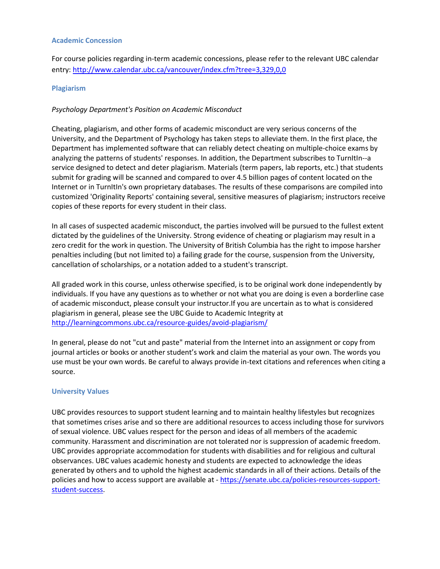#### **Academic Concession**

For course policies regarding in-term academic concessions, please refer to the relevant UBC calendar entry:<http://www.calendar.ubc.ca/vancouver/index.cfm?tree=3,329,0,0>

#### **Plagiarism**

#### *Psychology Department's Position on Academic Misconduct*

Cheating, plagiarism, and other forms of academic misconduct are very serious concerns of the University, and the Department of Psychology has taken steps to alleviate them. In the first place, the Department has implemented software that can reliably detect cheating on multiple-choice exams by analyzing the patterns of students' responses. In addition, the Department subscribes to TurnItIn--a service designed to detect and deter plagiarism. Materials (term papers, lab reports, etc.) that students submit for grading will be scanned and compared to over 4.5 billion pages of content located on the Internet or in TurnItIn's own proprietary databases. The results of these comparisons are compiled into customized 'Originality Reports' containing several, sensitive measures of plagiarism; instructors receive copies of these reports for every student in their class.

In all cases of suspected academic misconduct, the parties involved will be pursued to the fullest extent dictated by the guidelines of the University. Strong evidence of cheating or plagiarism may result in a zero credit for the work in question. The University of British Columbia has the right to impose harsher penalties including (but not limited to) a failing grade for the course, suspension from the University, cancellation of scholarships, or a notation added to a student's transcript.

All graded work in this course, unless otherwise specified, is to be original work done independently by individuals. If you have any questions as to whether or not what you are doing is even a borderline case of academic misconduct, please consult your instructor.If you are uncertain as to what is considered plagiarism in general, please see the UBC Guide to Academic Integrity at <http://learningcommons.ubc.ca/resource-guides/avoid-plagiarism/>

In general, please do not "cut and paste" material from the Internet into an assignment or copy from journal articles or books or another student's work and claim the material as your own. The words you use must be your own words. Be careful to always provide in-text citations and references when citing a source.

#### **University Values**

UBC provides resources to support student learning and to maintain healthy lifestyles but recognizes that sometimes crises arise and so there are additional resources to access including those for survivors of sexual violence. UBC values respect for the person and ideas of all members of the academic community. Harassment and discrimination are not tolerated nor is suppression of academic freedom. UBC provides appropriate accommodation for students with disabilities and for religious and cultural observances. UBC values academic honesty and students are expected to acknowledge the ideas generated by others and to uphold the highest academic standards in all of their actions. Details of the policies and how to access support are available at - [https://senate.ubc.ca/policies-resources-support](https://senate.ubc.ca/policies-resources-support-student-success)[student-success.](https://senate.ubc.ca/policies-resources-support-student-success)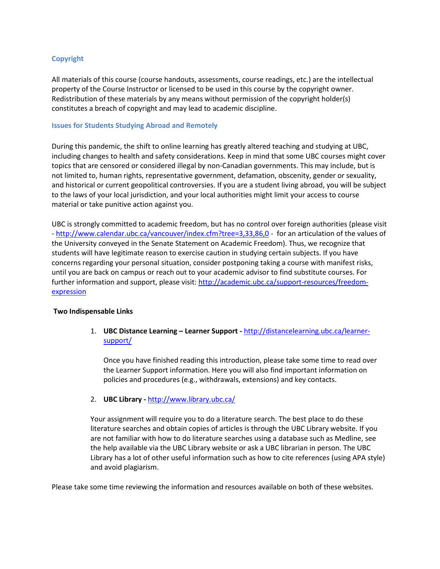# **Copyright**

All materials of this course (course handouts, assessments, course readings, etc.) are the intellectual property of the Course Instructor or licensed to be used in this course by the copyright owner. Redistribution of these materials by any means without permission of the copyright holder(s) constitutes a breach of copyright and may lead to academic discipline.

#### **Issues for Students Studying Abroad and Remotely**

During this pandemic, the shift to online learning has greatly altered teaching and studying at UBC, including changes to health and safety considerations. Keep in mind that some UBC courses might cover topics that are censored or considered illegal by non-Canadian governments. This may include, but is not limited to, human rights, representative government, defamation, obscenity, gender or sexuality, and historical or current geopolitical controversies. If you are a student living abroad, you will be subject to the laws of your local jurisdiction, and your local authorities might limit your access to course material or take punitive action against you.

UBC is strongly committed to academic freedom, but has no control over foreign authorities (please visit - <http://www.calendar.ubc.ca/vancouver/index.cfm?tree=3,33,86,0> - for an articulation of the values of the University conveyed in the Senate Statement on Academic Freedom). Thus, we recognize that students will have legitimate reason to exercise caution in studying certain subjects. If you have concerns regarding your personal situation, consider postponing taking a course with manifest risks, until you are back on campus or reach out to your academic advisor to find substitute courses. For further information and support, please visit: [http://academic.ubc.ca/support-resources/freedom](http://academic.ubc.ca/support-resources/freedom-expression)[expression](http://academic.ubc.ca/support-resources/freedom-expression)

#### **Two Indispensable Links**

1. **UBC Distance Learning – Learner Support -** [http://distancelearning.ubc.ca/learner](http://distancelearning.ubc.ca/learner-support/)[support/](http://distancelearning.ubc.ca/learner-support/)

Once you have finished reading this introduction, please take some time to read over the Learner Support information. Here you will also find important information on policies and procedures (e.g., withdrawals, extensions) and key contacts.

# 2. **UBC Library -** <http://www.library.ubc.ca/>

Your assignment will require you to do a literature search. The best place to do these literature searches and obtain copies of articles is through the UBC Library website. If you are not familiar with how to do literature searches using a database such as Medline, see the help available via the UBC Library website or ask a UBC librarian in person. The UBC Library has a lot of other useful information such as how to cite references (using APA style) and avoid plagiarism.

Please take some time reviewing the information and resources available on both of these websites.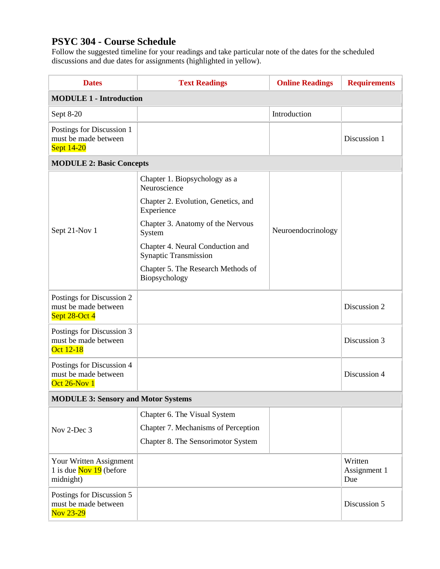# **PSYC 304 - Course Schedule**

Follow the suggested timeline for your readings and take particular note of the dates for the scheduled discussions and due dates for assignments (highlighted in yellow).

| <b>Dates</b>                                                              | <b>Text Readings</b>                                             | <b>Online Readings</b> | <b>Requirements</b>            |  |
|---------------------------------------------------------------------------|------------------------------------------------------------------|------------------------|--------------------------------|--|
| <b>MODULE 1 - Introduction</b>                                            |                                                                  |                        |                                |  |
| Sept 8-20                                                                 |                                                                  | Introduction           |                                |  |
| Postings for Discussion 1<br>must be made between<br><b>Sept 14-20</b>    |                                                                  |                        | Discussion 1                   |  |
| <b>MODULE 2: Basic Concepts</b>                                           |                                                                  |                        |                                |  |
| Sept 21-Nov 1                                                             | Chapter 1. Biopsychology as a<br>Neuroscience                    |                        |                                |  |
|                                                                           | Chapter 2. Evolution, Genetics, and<br>Experience                | Neuroendocrinology     |                                |  |
|                                                                           | Chapter 3. Anatomy of the Nervous<br>System                      |                        |                                |  |
|                                                                           | Chapter 4. Neural Conduction and<br><b>Synaptic Transmission</b> |                        |                                |  |
|                                                                           | Chapter 5. The Research Methods of<br>Biopsychology              |                        |                                |  |
| Postings for Discussion 2<br>must be made between<br>Sept 28-Oct 4        |                                                                  |                        | Discussion 2                   |  |
| Postings for Discussion 3<br>must be made between<br>Oct 12-18            |                                                                  |                        | Discussion 3                   |  |
| Postings for Discussion 4<br>must be made between<br>Oct $26$ -Nov $1$    |                                                                  |                        | Discussion 4                   |  |
| <b>MODULE 3: Sensory and Motor Systems</b>                                |                                                                  |                        |                                |  |
| Nov 2-Dec 3                                                               | Chapter 6. The Visual System                                     |                        |                                |  |
|                                                                           | Chapter 7. Mechanisms of Perception                              |                        |                                |  |
|                                                                           | Chapter 8. The Sensorimotor System                               |                        |                                |  |
| Your Written Assignment<br>1 is due $\frac{Nov}{19}$ (before<br>midnight) |                                                                  |                        | Written<br>Assignment 1<br>Due |  |
| Postings for Discussion 5<br>must be made between<br>Nov 23-29            |                                                                  |                        | Discussion 5                   |  |